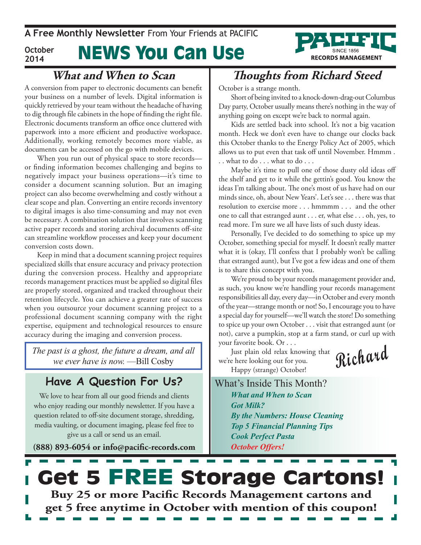News You Can Use **A Free Monthly Newsletter** From Your Friends at Pacific **October 2014**



### **What and When to Scan**

A conversion from paper to electronic documents can benefit your business on a number of levels. Digital information is quickly retrieved by your team without the headache of having to dig through file cabinets in the hope of finding the right file. Electronic documents transform an office once cluttered with paperwork into a more efficient and productive workspace. Additionally, working remotely becomes more viable, as documents can be accessed on the go with mobile devices.

When you run out of physical space to store records or finding information becomes challenging and begins to negatively impact your business operations—it's time to consider a document scanning solution. But an imaging project can also become overwhelming and costly without a clear scope and plan. Converting an entire records inventory to digital images is also time-consuming and may not even be necessary. A combination solution that involves scanning active paper records and storing archival documents off-site can streamline workflow processes and keep your document conversion costs down.

Keep in mind that a document scanning project requires specialized skills that ensure accuracy and privacy protection during the conversion process. Healthy and appropriate records management practices must be applied so digital files are properly stored, organized and tracked throughout their retention lifecycle. You can achieve a greater rate of success when you outsource your document scanning project to a professional document scanning company with the right expertise, equipment and technological resources to ensure accuracy during the imaging and conversion process.

*The past is a ghost, the future a dream, and all we ever have is now.* —Bill Cosby

### **Have A Question For Us?**

We love to hear from all our good friends and clients who enjoy reading our monthly newsletter. If you have a question related to off-site document storage, shredding, media vaulting, or document imaging, please feel free to give us a call or send us an email.

**(888) 893-6054 or info@pacific-records.com**

## **Thoughts from Richard Steed**

October is a strange month.

Short of being invited to a knock-down-drag-out Columbus Day party, October usually means there's nothing in the way of anything going on except we're back to normal again.

Kids are settled back into school. It's not a big vacation month. Heck we don't even have to change our clocks back this October thanks to the Energy Policy Act of 2005, which allows us to put even that task off until November. Hmmm . . . what to do . . . what to do . . .

Maybe it's time to pull one of those dusty old ideas off the shelf and get to it while the gettin's good. You know the ideas I'm talking about. The one's most of us have had on our minds since, oh, about New Years'. Let's see . . . there was that resolution to exercise more . . . hmmmm . . . and the other one to call that estranged aunt . . . er, what else . . . oh, yes, to read more. I'm sure we all have lists of such dusty ideas.

Personally, I've decided to do something to spice up my October, something special for myself. It doesn't really matter what it is (okay, I'll confess that I probably won't be calling that estranged aunt), but I've got a few ideas and one of them is to share this concept with you.

We're proud to be your records management provider and, as such, you know we're handling your records management responsibilities all day, every day—in October and every month of the year—strange month or not! So, I encourage you to have a special day for yourself—we'll watch the store! Do something to spice up your own October . . . visit that estranged aunt (or not), carve a pumpkin, stop at a farm stand, or curl up with your favorite book. Or . . .

Just plain old relax knowing that we're here looking out for you. Happy (strange) October!

**Richard**

What's Inside This Month? *What and When to Scan Got Milk? By the Numbers: House Cleaning Top 5 Financial Planning Tips Cook Perfect Pasta October Offers!*

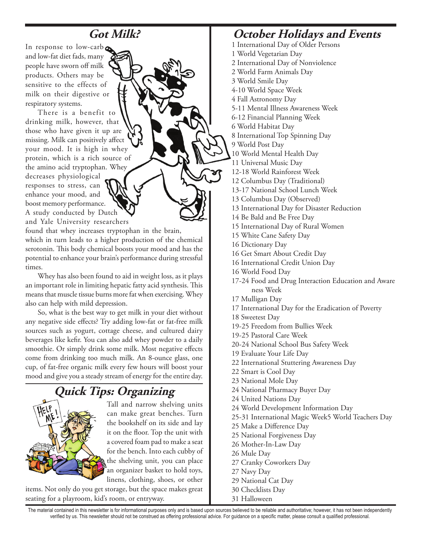## **Got Milk?**

In response to low-carb and low-fat diet fads, many people have sworn off milk products. Others may be sensitive to the effects of milk on their digestive or respiratory systems.

There is a benefit to drinking milk, however, that those who have given it up are missing. Milk can positively affect your mood. It is high in whey protein, which is a rich source of the amino acid tryptophan. Whey decreases physiological responses to stress, can enhance your mood, and boost memory performance. A study conducted by Dutch and Yale University researchers

found that whey increases tryptophan in the brain, which in turn leads to a higher production of the chemical serotonin. This body chemical boosts your mood and has the potential to enhance your brain's performance during stressful times.

Whey has also been found to aid in weight loss, as it plays an important role in limiting hepatic fatty acid synthesis. This means that muscle tissue burns more fat when exercising. Whey also can help with mild depression.

So, what is the best way to get milk in your diet without any negative side effects? Try adding low-fat or fat-free milk sources such as yogurt, cottage cheese, and cultured dairy beverages like kefir. You can also add whey powder to a daily smoothie. Or simply drink some milk. Most negative effects come from drinking too much milk. An 8-ounce glass, one cup, of fat-free organic milk every few hours will boost your mood and give you a steady stream of energy for the entire day.

## **Quick Tips: Organizing**



Tall and narrow shelving units can make great benches. Turn the bookshelf on its side and lay it on the floor. Top the unit with a covered foam pad to make a seat for the bench. Into each cubby of the shelving unit, you can place an organizer basket to hold toys, linens, clothing, shoes, or other

items. Not only do you get storage, but the space makes great seating for a playroom, kid's room, or entryway.

### **October Holidays and Events**

- 1 International Day of Older Persons
- 1 World Vegetarian Day
- 2 International Day of Nonviolence
- 2 World Farm Animals Day
- 3 World Smile Day
- 4-10 World Space Week
- 4 Fall Astronomy Day
- 5-11 Mental Illness Awareness Week
- 6-12 Financial Planning Week
- 6 World Habitat Day
- 8 International Top Spinning Day
- 9 World Post Day
- 10 World Mental Health Day
- 11 Universal Music Day
- 12-18 World Rainforest Week
- 12 Columbus Day (Traditional)
- 13-17 National School Lunch Week
- 13 Columbus Day (Observed)
- 13 International Day for Disaster Reduction
- 14 Be Bald and Be Free Day
- 15 International Day of Rural Women
- 15 White Cane Safety Day
- 16 Dictionary Day
- 16 Get Smart About Credit Day
- 16 International Credit Union Day
- 16 World Food Day
- 17-24 Food and Drug Interaction Education and Aware ness Week
- 17 Mulligan Day
- 17 International Day for the Eradication of Poverty
- 18 Sweetest Day
- 19-25 Freedom from Bullies Week
- 19-25 Pastoral Care Week
- 20-24 National School Bus Safety Week
- 19 Evaluate Your Life Day
- 22 International Stuttering Awareness Day
- 22 Smart is Cool Day
- 23 National Mole Day
- 24 National Pharmacy Buyer Day
- 24 United Nations Day
- 24 World Development Information Day
- 25-31 International Magic Week5 World Teachers Day
- 25 Make a Difference Day
- 25 National Forgiveness Day
- 26 Mother-In-Law Day
- 26 Mule Day
- 27 Cranky Coworkers Day
- 27 Navy Day
- 29 National Cat Day
- 30 Checklists Day
- 31 Halloween

The material contained in this newsletter is for informational purposes only and is based upon sources believed to be reliable and authoritative; however, it has not been independently verified by us. This newsletter should not be construed as offering professional advice. For guidance on a specific matter, please consult a qualified professional.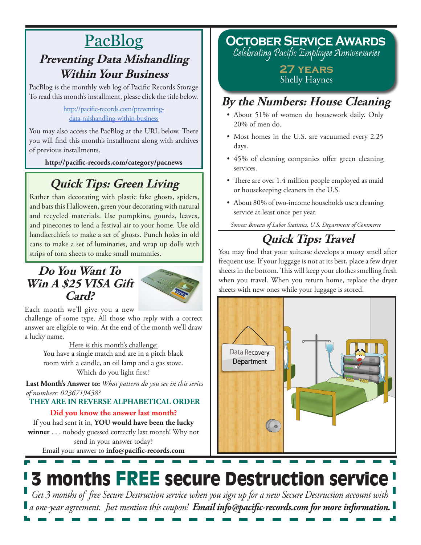## PacBlog **Preventing Data Mishandling Within Your Business**

PacBlog is the monthly web log of Pacific Records Storage To read this month's installment, please click the title below.

> [http://pacific-records.com/preventing](http://pacific-records.com/preventing-data-mishandling-within-business)[data-mishandling-within-business](http://pacific-records.com/preventing-data-mishandling-within-business)

You may also access the PacBlog at the URL below. There you will find this month's installment along with archives of previous installments.

**http://pacific-records.com/category/pacnews**

## **Quick Tips: Green Living**

Rather than decorating with plastic fake ghosts, spiders, and bats this Halloween, green your decorating with natural and recycled materials. Use pumpkins, gourds, leaves, and pinecones to lend a festival air to your home. Use old handkerchiefs to make a set of ghosts. Punch holes in old cans to make a set of luminaries, and wrap up dolls with strips of torn sheets to make small mummies.

### **Do You Want To Win A \$25 VISA Gift Card?**



Each month we'll give you a new

challenge of some type. All those who reply with a correct answer are eligible to win. At the end of the month we'll draw a lucky name.

Here is this month's challenge: You have a single match and are in a pitch black room with a candle, an oil lamp and a gas stove. Which do you light first?

**Last Month's Answer to:** *What pattern do you see in this series of numbers: 0236719458?*

**THEY ARE IN REVERSE ALPHABETICAL ORDER**

### **Did you know the answer last month?**

Email your answer to **info@pacific-records.com** If you had sent it in, **YOU would have been the lucky winner** . . . nobody guessed correctly last month! Why not send in your answer today?

**October Service Awards**

Celebrating Pacific Employee Anniversaries

**27 years** Shelly Haynes

## **By the Numbers: House Cleaning**

- About 51% of women do housework daily. Only 20% of men do.
- Most homes in the U.S. are vacuumed every 2.25 days.
- • 45% of cleaning companies offer green cleaning services.
- There are over 1.4 million people employed as maid or housekeeping cleaners in the U.S.
- About 80% of two-income households use a cleaning service at least once per year.

*Source: Bureau of Labor Statistics, U.S. Department of Commerce*

## **Quick Tips: Travel**

You may find that your suitcase develops a musty smell after frequent use. If your luggage is not at its best, place a few dryer sheets in the bottom. This will keep your clothes smelling fresh when you travel. When you return home, replace the dryer sheets with new ones while your luggage is stored.



# 3 months FREE secure Destruction service

*Get 3 months of free Secure Destruction service when you sign up for a new Secure Destruction account with a one-year agreement. Just mention this coupon! Email info@pacific-records.com for more information.*